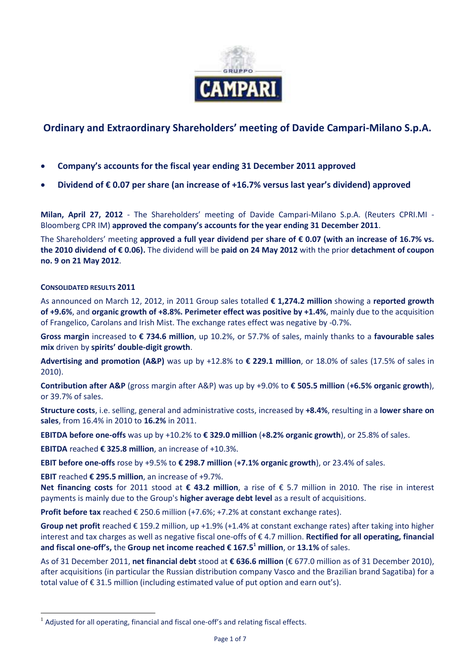

# **Ordinary and Extraordinary Shareholders' meeting of Davide Campari-Milano S.p.A.**

- **Company's accounts for the fiscal year ending 31 December 2011 approved**
- **Dividend of € 0.07 per share (an increase of +16.7% versus last year's dividend) approved**

**Milan, April 27, 2012** - The Shareholders' meeting of Davide Campari-Milano S.p.A. (Reuters CPRI.MI - Bloomberg CPR IM) **approved the company's accounts for the year ending 31 December 2011**.

The Shareholders' meeting **approved a full year dividend per share of € 0.07 (with an increase of 16.7% vs. the 2010 dividend of € 0.06).** The dividend will be **paid on 24 May 2012** with the prior **detachment of coupon no. 9 on 21 May 2012**.

# **CONSOLIDATED RESULTS 2011**

 $\overline{a}$ 

As announced on March 12, 2012, in 2011 Group sales totalled **€ 1,274.2 million** showing a **reported growth of +9.6%**, and **organic growth of +8.8%. Perimeter effect was positive by +1.4%**, mainly due to the acquisition of Frangelico, Carolans and Irish Mist. The exchange rates effect was negative by -0.7%.

**Gross margin** increased to **€ 734.6 million**, up 10.2%, or 57.7% of sales, mainly thanks to a **favourable sales mix** driven by **spirits' double-digit growth**.

**Advertising and promotion (A&P)** was up by +12.8% to **€ 229.1 million**, or 18.0% of sales (17.5% of sales in 2010).

**Contribution after A&P** (gross margin after A&P) was up by +9.0% to **€ 505.5 million** (**+6.5% organic growth**), or 39.7% of sales.

**Structure costs**, i.e. selling, general and administrative costs, increased by **+8.4%**, resulting in a **lower share on sales**, from 16.4% in 2010 to **16.2%** in 2011.

**EBITDA before one-offs** was up by +10.2% to **€ 329.0 million** (**+8.2% organic growth**), or 25.8% of sales.

**EBITDA** reached **€ 325.8 million**, an increase of +10.3%.

**EBIT before one-offs** rose by +9.5% to **€ 298.7 million** (**+7.1% organic growth**), or 23.4% of sales.

**EBIT** reached **€ 295.5 million**, an increase of +9.7%.

**Net financing costs** for 2011 stood at **€ 43.2 million**, a rise of € 5.7 million in 2010. The rise in interest payments is mainly due to the Group's **higher average debt level** as a result of acquisitions.

**Profit before tax** reached € 250.6 million (+7.6%; +7.2% at constant exchange rates).

**Group net profit** reached € 159.2 million, up +1.9% (+1.4% at constant exchange rates) after taking into higher interest and tax charges as well as negative fiscal one-offs of € 4.7 million. **Rectified for all operating, financial and fiscal one-off's,** the **Group net income reached € 167.5<sup>1</sup> million**, or **13.1%** of sales.

As of 31 December 2011, **net financial debt** stood at **€ 636.6 million** (€ 677.0 million as of 31 December 2010), after acquisitions (in particular the Russian distribution company Vasco and the Brazilian brand Sagatiba) for a total value of € 31.5 million (including estimated value of put option and earn out's).

 $<sup>1</sup>$  Adjusted for all operating, financial and fiscal one-off's and relating fiscal effects.</sup>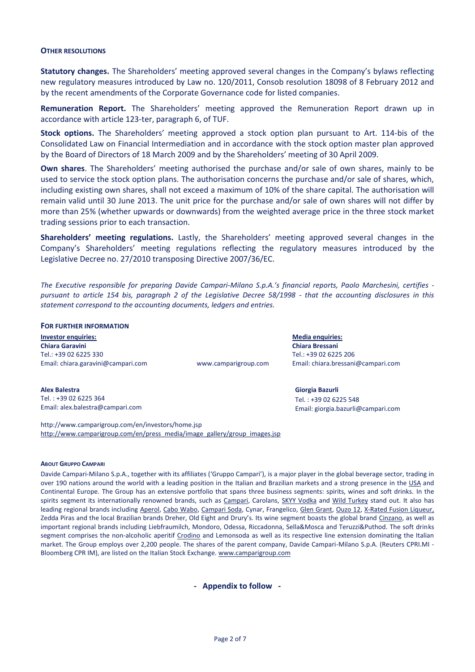#### **OTHER RESOLUTIONS**

**Statutory changes.** The Shareholders' meeting approved several changes in the Company's bylaws reflecting new regulatory measures introduced by Law no. 120/2011, Consob resolution 18098 of 8 February 2012 and by the recent amendments of the Corporate Governance code for listed companies.

**Remuneration Report.** The Shareholders' meeting approved the Remuneration Report drawn up in accordance with article 123-ter, paragraph 6, of TUF.

**Stock options.** The Shareholders' meeting approved a stock option plan pursuant to Art. 114-bis of the Consolidated Law on Financial Intermediation and in accordance with the stock option master plan approved by the Board of Directors of 18 March 2009 and by the Shareholders' meeting of 30 April 2009.

**Own shares**. The Shareholders' meeting authorised the purchase and/or sale of own shares, mainly to be used to service the stock option plans. The authorisation concerns the purchase and/or sale of shares, which, including existing own shares, shall not exceed a maximum of 10% of the share capital. The authorisation will remain valid until 30 June 2013. The unit price for the purchase and/or sale of own shares will not differ by more than 25% (whether upwards or downwards) from the weighted average price in the three stock market trading sessions prior to each transaction.

**Shareholders' meeting regulations.** Lastly, the Shareholders' meeting approved several changes in the Company's Shareholders' meeting regulations reflecting the regulatory measures introduced by the Legislative Decree no. 27/2010 transposing Directive 2007/36/EC.

*The Executive responsible for preparing Davide Campari-Milano S.p.A.'s financial reports, Paolo Marchesini, certifies pursuant to article 154 bis, paragraph 2 of the Legislative Decree 58/1998 - that the accounting disclosures in this statement correspond to the accounting documents, ledgers and entries.*

#### **FOR FURTHER INFORMATION**

**Investor enquiries: Media enquiries: Chiara Garavini Chiara Bressani** Tel.: +39 02 6225 330 Tel.: +39 02 6225 206 Email[: chiara.garavini@campari.com](mailto:chiara.garavini@campari.com) www.camparigroup.com Email: [chiara.bressani@campari.com](mailto:chiara.bressani@campari.com)

**Giorgia Bazurli** Tel. : +39 02 6225 548

Email[: giorgia.bazurli@campari.com](mailto:giorgia.bazurli@campari.com)

**Alex Balestra** Tel. : +39 02 6225 364 Email[: alex.balestra@campari.com](mailto:alex.balestra@campari.com)

http://www.camparigroup.com/en/investors/home.jsp [http://www.camparigroup.com/en/press\\_media/image\\_gallery/group\\_images.jsp](http://www.camparigroup.com/en/press_media/image_gallery/group_images.jsp)

#### **ABOUT GRUPPO CAMPARI**

Davide Campari-Milano S.p.A., together with its affiliates ('Gruppo Campari'), is a major player in the global beverage sector, trading in over 190 nations around the world with a leading position in the Italian and Brazilian markets and a strong presence in the USA and Continental Europe. The Group has an extensive portfolio that spans three business segments: spirits, wines and soft drinks. In the spirits segment its internationally renowned brands, such as [Campari,](http://www.campari.com/) Carolans, [SKYY Vodka](http://www.skyy.com/) and Wild Turkey stand out. It also has leading regional brands includin[g Aperol,](http://www.aperol.com/) [Cabo Wabo,](http://www.cabowabo.com/) [Campari Soda,](http://www.camparisoda.it/) Cynar, Frangelico, [Glen Grant,](http://www.glengrant.com/) [Ouzo 12,](http://www.ouzo12.gr/) [X-Rated](http://www.xratedfusion.com/) Fusion Liqueur, Zedda Piras and the local Brazilian brands Dreher, Old Eight and Drury's. Its wine segment boasts the global brand [Cinzano,](http://www.cinzano.com/) as well as important regional brands including Liebfraumilch, Mondoro, Odessa, Riccadonna, Sella&Mosca and Teruzzi&Puthod. The soft drinks segment comprises the non-alcoholic aperitif [Crodino](http://www.crodino.it/) and Lemonsoda as well as its respective line extension dominating the Italian market. The Group employs over 2,200 people. The shares of the parent company, Davide Campari-Milano S.p.A. (Reuters CPRI.MI Bloomberg CPR IM), are listed on the Italian Stock Exchange. [www.camparigroup.com](http://www.camparigroup.com/)

**- Appendix to follow -**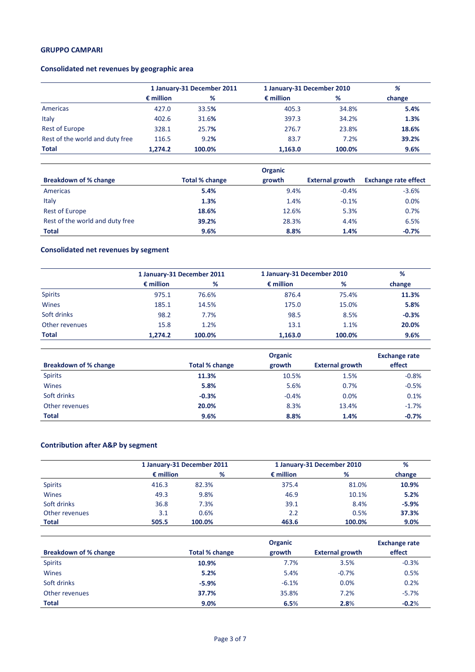# **GRUPPO CAMPARI**

# **Consolidated net revenues by geographic area**

|                                 | 1 January-31 December 2011 |        |                    | 1 January-31 December 2010 |        |
|---------------------------------|----------------------------|--------|--------------------|----------------------------|--------|
|                                 | $\epsilon$ million         | %      | $\epsilon$ million | %                          | change |
| Americas                        | 427.0                      | 33.5%  | 405.3              | 34.8%                      | 5.4%   |
| Italy                           | 402.6                      | 31.6%  | 397.3              | 34.2%                      | 1.3%   |
| <b>Rest of Europe</b>           | 328.1                      | 25.7%  | 276.7              | 23.8%                      | 18.6%  |
| Rest of the world and duty free | 116.5                      | 9.2%   | 83.7               | 7.2%                       | 39.2%  |
| <b>Total</b>                    | 1.274.2                    | 100.0% | 1,163.0            | 100.0%                     | 9.6%   |

|                                 | <b>Organic</b>        |        |                        |                             |  |
|---------------------------------|-----------------------|--------|------------------------|-----------------------------|--|
| <b>Breakdown of % change</b>    | <b>Total % change</b> | growth | <b>External growth</b> | <b>Exchange rate effect</b> |  |
| Americas                        | 5.4%                  | 9.4%   | $-0.4%$                | $-3.6%$                     |  |
| Italy                           | 1.3%                  | 1.4%   | $-0.1%$                | 0.0%                        |  |
| <b>Rest of Europe</b>           | 18.6%                 | 12.6%  | 5.3%                   | 0.7%                        |  |
| Rest of the world and duty free | 39.2%                 | 28.3%  | 4.4%                   | 6.5%                        |  |
| <b>Total</b>                    | 9.6%                  | 8.8%   | 1.4%                   | $-0.7%$                     |  |

# **Consolidated net revenues by segment**

|                | 1 January-31 December 2011 |        |                    | 1 January-31 December 2010 |         |
|----------------|----------------------------|--------|--------------------|----------------------------|---------|
|                | $\epsilon$ million         | %      | $\epsilon$ million | %                          | change  |
| <b>Spirits</b> | 975.1                      | 76.6%  | 876.4              | 75.4%                      | 11.3%   |
| Wines          | 185.1                      | 14.5%  | 175.0              | 15.0%                      | 5.8%    |
| Soft drinks    | 98.2                       | 7.7%   | 98.5               | 8.5%                       | $-0.3%$ |
| Other revenues | 15.8                       | 1.2%   | 13.1               | 1.1%                       | 20.0%   |
| Total          | 1.274.2                    | 100.0% | 1,163.0            | 100.0%                     | 9.6%    |

|                              | <b>Organic</b>        |         |                        | <b>Exchange rate</b> |
|------------------------------|-----------------------|---------|------------------------|----------------------|
| <b>Breakdown of % change</b> | <b>Total % change</b> | growth  | <b>External growth</b> | effect               |
| <b>Spirits</b>               | 11.3%                 | 10.5%   | 1.5%                   | $-0.8%$              |
| <b>Wines</b>                 | 5.8%                  | 5.6%    | 0.7%                   | $-0.5%$              |
| Soft drinks                  | $-0.3%$               | $-0.4%$ | 0.0%                   | 0.1%                 |
| Other revenues               | 20.0%                 | 8.3%    | 13.4%                  | $-1.7%$              |
| <b>Total</b>                 | 9.6%                  | 8.8%    | 1.4%                   | $-0.7%$              |

# **Contribution after A&P by segment**

|                |                    | 1 January-31 December 2011 |                    | 1 January-31 December 2010 |         |  |
|----------------|--------------------|----------------------------|--------------------|----------------------------|---------|--|
|                | $\epsilon$ million | %                          | $\epsilon$ million | %                          | change  |  |
| <b>Spirits</b> | 416.3              | 82.3%                      | 375.4              | 81.0%                      | 10.9%   |  |
| <b>Wines</b>   | 49.3               | 9.8%                       | 46.9               | 10.1%                      | 5.2%    |  |
| Soft drinks    | 36.8               | 7.3%                       | 39.1               | 8.4%                       | $-5.9%$ |  |
| Other revenues | 3.1                | 0.6%                       | 2.2                | 0.5%                       | 37.3%   |  |
| <b>Total</b>   | 505.5              | 100.0%                     | 463.6              | 100.0%                     | 9.0%    |  |

|                              | <b>Organic</b>        |         |                        | <b>Exchange rate</b> |
|------------------------------|-----------------------|---------|------------------------|----------------------|
| <b>Breakdown of % change</b> | <b>Total % change</b> | growth  | <b>External growth</b> | effect               |
| <b>Spirits</b>               | 10.9%                 | 7.7%    | 3.5%                   | $-0.3%$              |
| <b>Wines</b>                 | 5.2%                  | 5.4%    | $-0.7%$                | 0.5%                 |
| Soft drinks                  | $-5.9%$               | $-6.1%$ | 0.0%                   | 0.2%                 |
| Other revenues               | 37.7%                 | 35.8%   | 7.2%                   | $-5.7%$              |
| <b>Total</b>                 | 9.0%                  | 6.5%    | 2.8%                   | $-0.2%$              |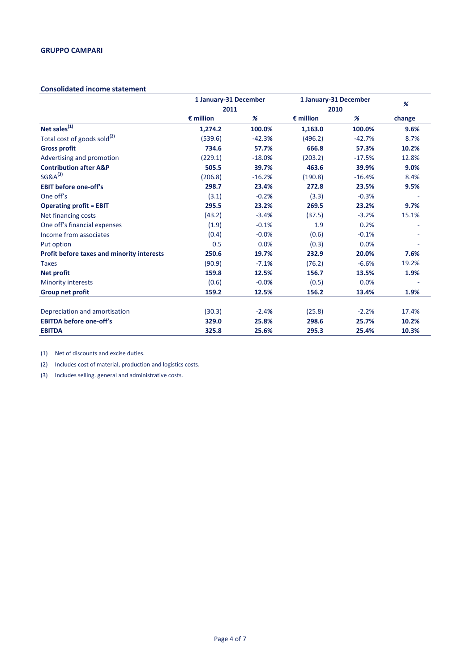#### **Consolidated income statement**

|                                            | 1 January-31 December |          | 1 January-31 December |          | %      |
|--------------------------------------------|-----------------------|----------|-----------------------|----------|--------|
|                                            | 2011                  |          | 2010                  |          |        |
|                                            | $\epsilon$ million    | %        | $\epsilon$ million    | %        | change |
| Net sales $\overline{^{(1)}}$              | 1,274.2               | 100.0%   | 1,163.0               | 100.0%   | 9.6%   |
| Total cost of goods sold <sup>(2)</sup>    | (539.6)               | $-42.3%$ | (496.2)               | $-42.7%$ | 8.7%   |
| <b>Gross profit</b>                        | 734.6                 | 57.7%    | 666.8                 | 57.3%    | 10.2%  |
| Advertising and promotion                  | (229.1)               | $-18.0%$ | (203.2)               | $-17.5%$ | 12.8%  |
| <b>Contribution after A&amp;P</b>          | 505.5                 | 39.7%    | 463.6                 | 39.9%    | 9.0%   |
| $SG&A^{(3)}$                               | (206.8)               | $-16.2%$ | (190.8)               | $-16.4%$ | 8.4%   |
| <b>EBIT before one-off's</b>               | 298.7                 | 23.4%    | 272.8                 | 23.5%    | 9.5%   |
| One off's                                  | (3.1)                 | $-0.2%$  | (3.3)                 | $-0.3%$  |        |
| <b>Operating profit = EBIT</b>             | 295.5                 | 23.2%    | 269.5                 | 23.2%    | 9.7%   |
| Net financing costs                        | (43.2)                | $-3.4%$  | (37.5)                | $-3.2%$  | 15.1%  |
| One off's financial expenses               | (1.9)                 | $-0.1%$  | 1.9                   | 0.2%     |        |
| Income from associates                     | (0.4)                 | $-0.0%$  | (0.6)                 | $-0.1%$  |        |
| Put option                                 | 0.5                   | 0.0%     | (0.3)                 | 0.0%     |        |
| Profit before taxes and minority interests | 250.6                 | 19.7%    | 232.9                 | 20.0%    | 7.6%   |
| <b>Taxes</b>                               | (90.9)                | $-7.1%$  | (76.2)                | $-6.6%$  | 19.2%  |
| <b>Net profit</b>                          | 159.8                 | 12.5%    | 156.7                 | 13.5%    | 1.9%   |
| <b>Minority interests</b>                  | (0.6)                 | $-0.0%$  | (0.5)                 | 0.0%     |        |
| Group net profit                           | 159.2                 | 12.5%    | 156.2                 | 13.4%    | 1.9%   |
| Depreciation and amortisation              | (30.3)                | $-2.4%$  | (25.8)                | $-2.2%$  | 17.4%  |
| <b>EBITDA before one-off's</b>             | 329.0                 | 25.8%    | 298.6                 | 25.7%    | 10.2%  |
| <b>EBITDA</b>                              | 325.8                 | 25.6%    | 295.3                 | 25.4%    | 10.3%  |

(1) Net of discounts and excise duties.

(2) Includes cost of material, production and logistics costs.

(3) Includes selling. general and administrative costs.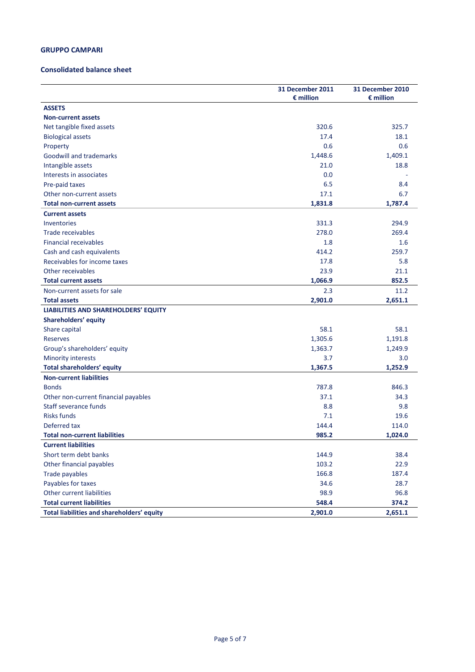#### **GRUPPO CAMPARI**

#### **Consolidated balance sheet**

|                                            | 31 December 2011<br>$\epsilon$ million | 31 December 2010<br>$\epsilon$ million |
|--------------------------------------------|----------------------------------------|----------------------------------------|
| <b>ASSETS</b>                              |                                        |                                        |
| <b>Non-current assets</b>                  |                                        |                                        |
| Net tangible fixed assets                  | 320.6                                  | 325.7                                  |
| <b>Biological assets</b>                   | 17.4                                   | 18.1                                   |
| Property                                   | 0.6                                    | 0.6                                    |
| <b>Goodwill and trademarks</b>             | 1,448.6                                | 1,409.1                                |
| Intangible assets                          | 21.0                                   | 18.8                                   |
| Interests in associates                    | 0.0                                    |                                        |
| Pre-paid taxes                             | 6.5                                    | 8.4                                    |
| Other non-current assets                   | 17.1                                   | 6.7                                    |
| <b>Total non-current assets</b>            | 1,831.8                                | 1,787.4                                |
| <b>Current assets</b>                      |                                        |                                        |
| Inventories                                | 331.3                                  | 294.9                                  |
| Trade receivables                          | 278.0                                  | 269.4                                  |
| <b>Financial receivables</b>               | 1.8                                    | 1.6                                    |
| Cash and cash equivalents                  | 414.2                                  | 259.7                                  |
| Receivables for income taxes               | 17.8                                   | 5.8                                    |
| Other receivables                          | 23.9                                   | 21.1                                   |
| <b>Total current assets</b>                | 1,066.9                                | 852.5                                  |
| Non-current assets for sale                | 2.3                                    | 11.2                                   |
| <b>Total assets</b>                        | 2,901.0                                | 2,651.1                                |
| LIABILITIES AND SHAREHOLDERS' EQUITY       |                                        |                                        |
| <b>Shareholders' equity</b>                |                                        |                                        |
| Share capital                              | 58.1                                   | 58.1                                   |
| <b>Reserves</b>                            | 1,305.6                                | 1,191.8                                |
| Group's shareholders' equity               | 1,363.7                                | 1,249.9                                |
| <b>Minority interests</b>                  | 3.7                                    | 3.0                                    |
| <b>Total shareholders' equity</b>          | 1,367.5                                | 1,252.9                                |
| <b>Non-current liabilities</b>             |                                        |                                        |
| <b>Bonds</b>                               | 787.8                                  | 846.3                                  |
| Other non-current financial payables       | 37.1                                   | 34.3                                   |
| Staff severance funds                      | 8.8                                    | 9.8                                    |
| <b>Risks funds</b>                         | 7.1                                    | 19.6                                   |
| Deferred tax                               | 144.4                                  | 114.0                                  |
| <b>Total non-current liabilities</b>       | 985.2                                  | 1,024.0                                |
| <b>Current liabilities</b>                 |                                        |                                        |
| Short term debt banks                      | 144.9                                  | 38.4                                   |
| Other financial payables                   | 103.2                                  | 22.9                                   |
| <b>Trade payables</b>                      | 166.8                                  | 187.4                                  |
| Payables for taxes                         | 34.6                                   | 28.7                                   |
| <b>Other current liabilities</b>           | 98.9                                   | 96.8                                   |
| <b>Total current liabilities</b>           | 548.4                                  | 374.2                                  |
| Total liabilities and shareholders' equity | 2,901.0                                | 2,651.1                                |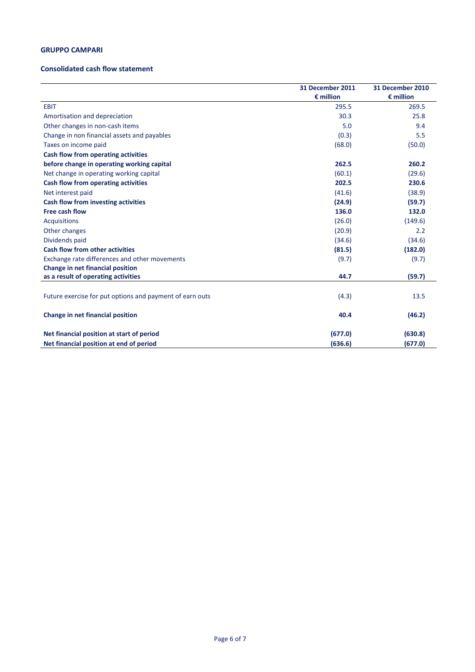### **GRUPPO CAMPARI**

#### **Consolidated cash flow statement**

|                                                          | 31 December 2011<br>$\epsilon$ million | 31 December 2010<br>$\epsilon$ million |
|----------------------------------------------------------|----------------------------------------|----------------------------------------|
|                                                          |                                        |                                        |
| <b>EBIT</b>                                              | 295.5                                  | 269.5                                  |
| Amortisation and depreciation                            | 30.3                                   | 25.8                                   |
| Other changes in non-cash items                          | 5.0                                    | 9.4                                    |
| Change in non financial assets and payables              | (0.3)                                  | 5.5                                    |
| Taxes on income paid                                     | (68.0)                                 | (50.0)                                 |
| Cash flow from operating activities                      |                                        |                                        |
| before change in operating working capital               | 262.5                                  | 260.2                                  |
| Net change in operating working capital                  | (60.1)                                 | (29.6)                                 |
| Cash flow from operating activities                      | 202.5                                  | 230.6                                  |
| Net interest paid                                        | (41.6)                                 | (38.9)                                 |
| <b>Cash flow from investing activities</b>               | (24.9)                                 | (59.7)                                 |
| Free cash flow                                           | 136.0                                  | 132.0                                  |
| <b>Acquisitions</b>                                      | (26.0)                                 | (149.6)                                |
| Other changes                                            | (20.9)                                 | 2.2                                    |
| Dividends paid                                           | (34.6)                                 | (34.6)                                 |
| <b>Cash flow from other activities</b>                   | (81.5)                                 | (182.0)                                |
| Exchange rate differences and other movements            | (9.7)                                  | (9.7)                                  |
| Change in net financial position                         |                                        |                                        |
| as a result of operating activities                      | 44.7                                   | (59.7)                                 |
|                                                          |                                        |                                        |
| Future exercise for put options and payment of earn outs | (4.3)                                  | 13.5                                   |
| Change in net financial position                         | 40.4                                   | (46.2)                                 |
| Net financial position at start of period                | (677.0)                                | (630.8)                                |
| Net financial position at end of period                  | (636.6)                                | (677.0)                                |